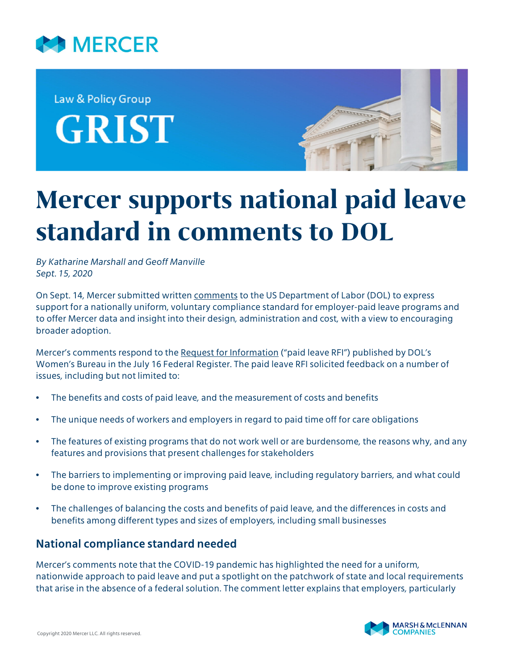

Law & Policy Group **GRIST** 



# **Mercer supports national paid leave standard in comments to DOL**

*By Katharine Marshall and Geoff Manville Sept. 15, 2020*

On Sept. 14, Mercer submitted written [comments](https://www.mercer.com/content/dam/mercer/attachments/global/law-and-policy/gl-2020-request-for-information-paid-leave.pdf) to the US Department of Labor (DOL) to express support for a nationally uniform, voluntary compliance standard for employer-paid leave programs and to offer Mercer data and insight into their design, administration and cost, with a view to encouraging broader adoption.

Mercer's comments respond to the [Request for Information](https://www.govinfo.gov/content/pkg/FR-2020-07-16/pdf/2020-14874.pdf) ("paid leave RFI") published by DOL's Women's Bureau in the July 16 Federal Register. The paid leave RFI solicited feedback on a number of issues, including but not limited to:

- The benefits and costs of paid leave, and the measurement of costs and benefits
- The unique needs of workers and employers in regard to paid time off for care obligations
- The features of existing programs that do not work well or are burdensome, the reasons why, and any features and provisions that present challenges for stakeholders
- The barriers to implementing or improving paid leave, including regulatory barriers, and what could be done to improve existing programs
- The challenges of balancing the costs and benefits of paid leave, and the differences in costs and benefits among different types and sizes of employers, including small businesses

## **National compliance standard needed**

Mercer's comments note that the COVID-19 pandemic has highlighted the need for a uniform, nationwide approach to paid leave and put a spotlight on the patchwork of state and local requirements that arise in the absence of a federal solution. The comment letter explains that employers, particularly

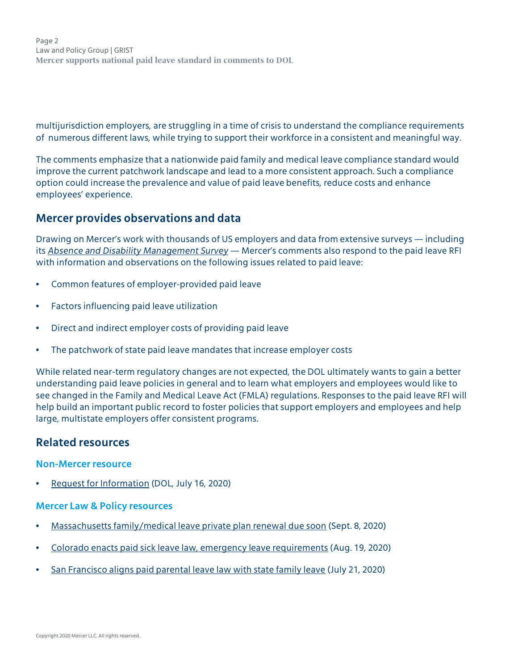Page 2 Law and Policy Group | GRIST **Mercer supports national paid leave standard in comments to DOL**

multijurisdiction employers, are struggling in a time of crisis to understand the compliance requirements of numerous different laws, while trying to support their workforce in a consistent and meaningful way.

The comments emphasize that a nationwide paid family and medical leave compliance standard would improve the current patchwork landscape and lead to a more consistent approach. Such a compliance option could increase the prevalence and value of paid leave benefits, reduce costs and enhance employees' experience.

### **Mercer provides observations and data**

Drawing on Mercer's work with thousands of US employers and data from extensive surveys — including its *[Absence and Disability Management Survey](https://www.imercer.com/products/absence-disability-survey)* — Mercer's comments also respond to the paid leave RFI with information and observations on the following issues related to paid leave:

- Common features of employer-provided paid leave
- Factors influencing paid leave utilization
- Direct and indirect employer costs of providing paid leave
- The patchwork of state paid leave mandates that increase employer costs

While related near-term regulatory changes are not expected, the DOL ultimately wants to gain a better understanding paid leave policies in general and to learn what employers and employees would like to see changed in the Family and Medical Leave Act (FMLA) regulations. Responses to the paid leave RFI will help build an important public record to foster policies that support employers and employees and help large, multistate employers offer consistent programs.

## **Related resources**

#### **Non-Mercer resource**

• [Request for Information](https://www.govinfo.gov/content/pkg/FR-2020-07-16/pdf/2020-14874.pdf) (DOL, July 16, 2020)

#### **Mercer Law & Policy resources**

- [Massachusetts family/medical leave private plan renewal due soon](https://www.mercer.com/our-thinking/law-and-policy-group/massachusetts-family-medical-leave-private-plan-renewal-due-soon.html) (Sept. 8, 2020)
- [Colorado enacts paid sick leave law, emergency leave requirements](https://www.mercer.com/our-thinking/law-and-policy-group/colorado-enacts-paid-sick-leave-law-emergency-leave-requirements.html) (Aug. 19, 2020)
- [San Francisco aligns paid parental leave law with state family leave](https://www.mercer.com/our-thinking/law-and-policy-group/san-francisco-aligns-paid-parental-leave-law-with-state-family-leave.html) (July 21, 2020)